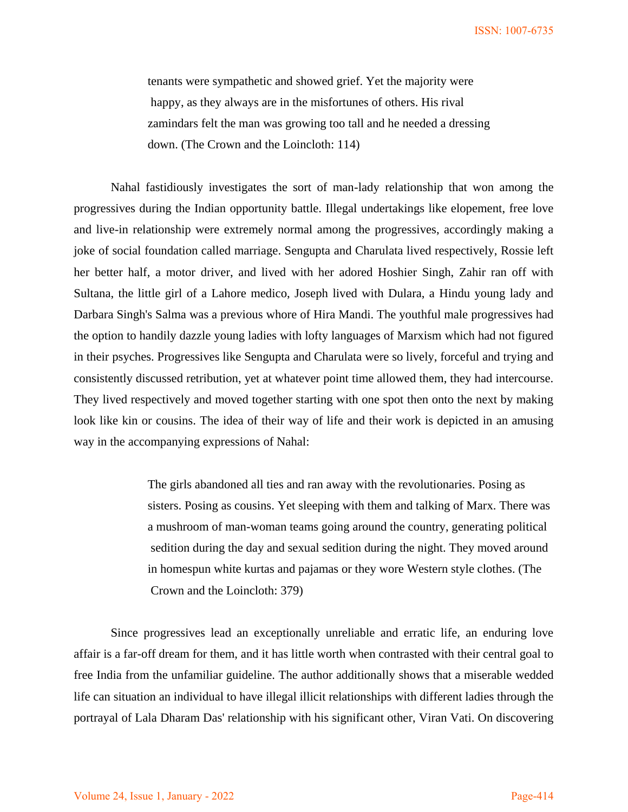tenants were sympathetic and showed grief. Yet the majority were happy, as they always are in the misfortunes of others. His rival zamindars felt the man was growing too tall and he needed a dressing down. (The Crown and the Loincloth: 114)

 Nahal fastidiously investigates the sort of man-lady relationship that won among the progressives during the Indian opportunity battle. Illegal undertakings like elopement, free love and live-in relationship were extremely normal among the progressives, accordingly making a joke of social foundation called marriage. Sengupta and Charulata lived respectively, Rossie left her better half, a motor driver, and lived with her adored Hoshier Singh, Zahir ran off with Sultana, the little girl of a Lahore medico, Joseph lived with Dulara, a Hindu young lady and Darbara Singh's Salma was a previous whore of Hira Mandi. The youthful male progressives had the option to handily dazzle young ladies with lofty languages of Marxism which had not figured in their psyches. Progressives like Sengupta and Charulata were so lively, forceful and trying and consistently discussed retribution, yet at whatever point time allowed them, they had intercourse. They lived respectively and moved together starting with one spot then onto the next by making look like kin or cousins. The idea of their way of life and their work is depicted in an amusing way in the accompanying expressions of Nahal:

> The girls abandoned all ties and ran away with the revolutionaries. Posing as sisters. Posing as cousins. Yet sleeping with them and talking of Marx. There was a mushroom of man-woman teams going around the country, generating political sedition during the day and sexual sedition during the night. They moved around in homespun white kurtas and pajamas or they wore Western style clothes. (The Crown and the Loincloth: 379)

 Since progressives lead an exceptionally unreliable and erratic life, an enduring love affair is a far-off dream for them, and it has little worth when contrasted with their central goal to free India from the unfamiliar guideline. The author additionally shows that a miserable wedded life can situation an individual to have illegal illicit relationships with different ladies through the portrayal of Lala Dharam Das' relationship with his significant other, Viran Vati. On discovering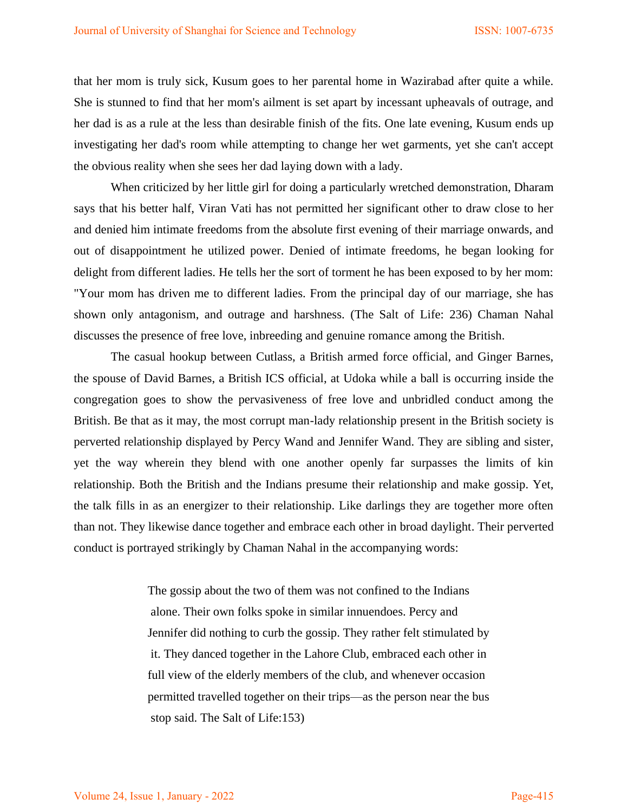that her mom is truly sick, Kusum goes to her parental home in Wazirabad after quite a while. She is stunned to find that her mom's ailment is set apart by incessant upheavals of outrage, and her dad is as a rule at the less than desirable finish of the fits. One late evening, Kusum ends up investigating her dad's room while attempting to change her wet garments, yet she can't accept the obvious reality when she sees her dad laying down with a lady.

 When criticized by her little girl for doing a particularly wretched demonstration, Dharam says that his better half, Viran Vati has not permitted her significant other to draw close to her and denied him intimate freedoms from the absolute first evening of their marriage onwards, and out of disappointment he utilized power. Denied of intimate freedoms, he began looking for delight from different ladies. He tells her the sort of torment he has been exposed to by her mom: "Your mom has driven me to different ladies. From the principal day of our marriage, she has shown only antagonism, and outrage and harshness. (The Salt of Life: 236) Chaman Nahal discusses the presence of free love, inbreeding and genuine romance among the British.

 The casual hookup between Cutlass, a British armed force official, and Ginger Barnes, the spouse of David Barnes, a British ICS official, at Udoka while a ball is occurring inside the congregation goes to show the pervasiveness of free love and unbridled conduct among the British. Be that as it may, the most corrupt man-lady relationship present in the British society is perverted relationship displayed by Percy Wand and Jennifer Wand. They are sibling and sister, yet the way wherein they blend with one another openly far surpasses the limits of kin relationship. Both the British and the Indians presume their relationship and make gossip. Yet, the talk fills in as an energizer to their relationship. Like darlings they are together more often than not. They likewise dance together and embrace each other in broad daylight. Their perverted conduct is portrayed strikingly by Chaman Nahal in the accompanying words:

> The gossip about the two of them was not confined to the Indians alone. Their own folks spoke in similar innuendoes. Percy and Jennifer did nothing to curb the gossip. They rather felt stimulated by it. They danced together in the Lahore Club, embraced each other in full view of the elderly members of the club, and whenever occasion permitted travelled together on their trips—as the person near the bus stop said. The Salt of Life:153)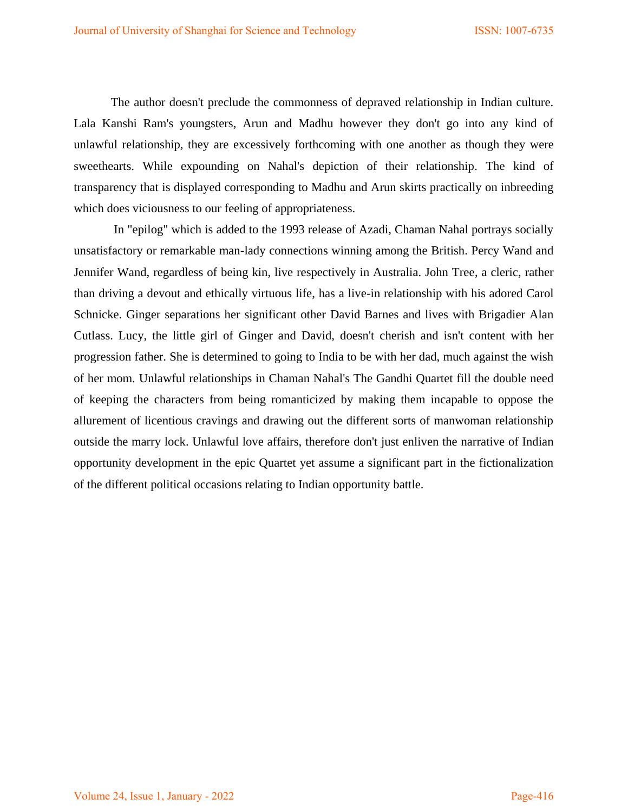The author doesn't preclude the commonness of depraved relationship in Indian culture. Lala Kanshi Ram's youngsters, Arun and Madhu however they don't go into any kind of unlawful relationship, they are excessively forthcoming with one another as though they were sweethearts. While expounding on Nahal's depiction of their relationship. The kind of transparency that is displayed corresponding to Madhu and Arun skirts practically on inbreeding which does viciousness to our feeling of appropriateness.

 In "epilog" which is added to the 1993 release of Azadi, Chaman Nahal portrays socially unsatisfactory or remarkable man-lady connections winning among the British. Percy Wand and Jennifer Wand, regardless of being kin, live respectively in Australia. John Tree, a cleric, rather than driving a devout and ethically virtuous life, has a live-in relationship with his adored Carol Schnicke. Ginger separations her significant other David Barnes and lives with Brigadier Alan Cutlass. Lucy, the little girl of Ginger and David, doesn't cherish and isn't content with her progression father. She is determined to going to India to be with her dad, much against the wish of her mom. Unlawful relationships in Chaman Nahal's The Gandhi Quartet fill the double need of keeping the characters from being romanticized by making them incapable to oppose the allurement of licentious cravings and drawing out the different sorts of manwoman relationship outside the marry lock. Unlawful love affairs, therefore don't just enliven the narrative of Indian opportunity development in the epic Quartet yet assume a significant part in the fictionalization of the different political occasions relating to Indian opportunity battle.